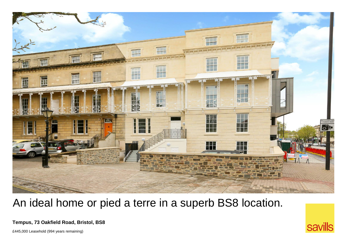

## An ideal home or pied a terre in a superb BS8 location.

**Tempus, 73 Oakfield Road, Bristol, BS8**

£445,000 Leasehold (994 years remaining)

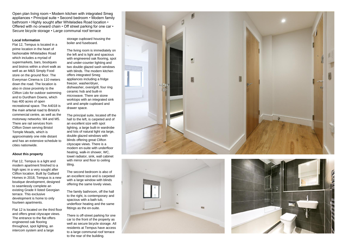Open plan living room • Modern kitchen with integrated Smeg appliances • Principal suite • Second bedroom • Modern family bathroom • Highly sought after Whiteladies Road location • Offered with no onward chain • Off street parking for one car • Secure bicycle storage • Large communal roof terrace

## **Local Information**

Flat 12, Tempus is located in a prime location in the heart of fashionable Whiteladies Road which includes a myriad of supermarkets, bars, boutiques and bistros within a short walk as well as an M&S Simply Food store on the ground floor. The Everyman Cinema is 110 meters down the road. The location is also in close proximity to the Clifton Lido for outdoor swimming and to Durdham Downs, which has 400 acres of open recreational space. The A4018 is the main arterial road to Bristol's commercial centre, as well as the motorway networks: M4 and M5. There are rail services from Clifton Down serving Bristol Temple Meads, which is approximately one mile distant and has an extensive schedule to cities nationwide.

## **About this property**

Flat 12, Tempus is a light and modern apartment finished to a high spec in a very sought after Clifton location. Built by Galliard Homes in 2018, Tempus is a new boutique development, designed to seamlessly complete an existing Grade II listed Georgian terrace. This exclusive development is home to only fourteen apartments.

Flat 12 is located on the third floor and offers great cityscape views. The entrance to the flat offers engineered oak flooring throughout, spot lighting, an intercom system and a large

storage cupboard housing the boiler and fuseboard.

The living room is immediately on the left and is light and spacious with engineered oak flooring, spot and under-counter lighting and two double glazed sash windows with blinds. The modern kitchen offers integrated Smeg appliances including a fridge freezer, washer/dryer, dishwasher, oven/grill, four ring ceramic hob and built-in microwave. There are stone worktops with an integrated sink unit and ample cupboard and drawer space.

The principal suite, located off the hall to the left, is carpeted and of an excellent size with spot lighting, a large built-in wardrobe and lots of natural light via large, double glazed windows with blinds offering great Clifton cityscape views. There is a modern en-suite with underfloor heating, walk-in shower, WC, towel radiator, sink, wall cabinet with mirror and floor to ceiling tiling.

The second bedroom is also of an excellent size and is carpeted with a large window with blinds offering the same lovely views.

The family bathroom, off the hall to the right, is contemporary and spacious with a bath tub, underfloor heating and the same fittings as the en-suite.

There is off-street parking for one car to the front of the property as well as secure bicycle storage. All residents at Tempus have access to a large communal roof terrace to the rear of the building.





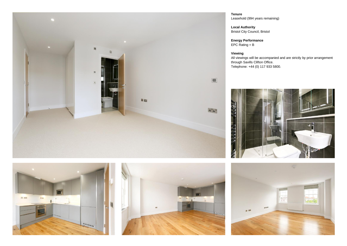

**Tenure** Leasehold (994 years remaining)

**Local Authority** Bristol City Council, Bristol

**Energy Performance** EPC Rating = B

**Viewing** All viewings will be accompanied and are strictly by prior arrangement through Savills Clifton Office. Telephone: +44 (0) 117 933 5800.